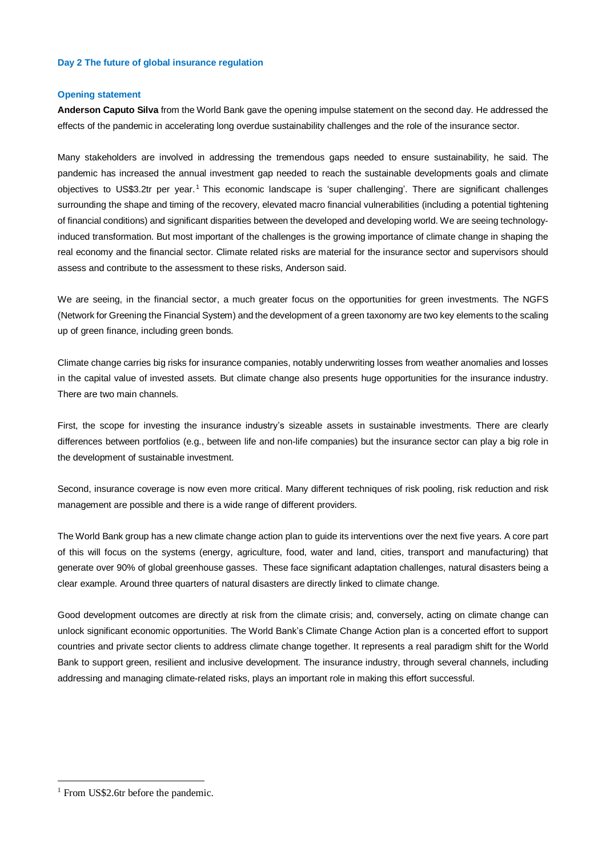## **Day 2 The future of global insurance regulation**

## **Opening statement**

**Anderson Caputo Silva** from the World Bank gave the opening impulse statement on the second day. He addressed the effects of the pandemic in accelerating long overdue sustainability challenges and the role of the insurance sector.

Many stakeholders are involved in addressing the tremendous gaps needed to ensure sustainability, he said. The pandemic has increased the annual investment gap needed to reach the sustainable developments goals and climate objectives to US\$3.2tr per year. <sup>1</sup> This economic landscape is 'super challenging'. There are significant challenges surrounding the shape and timing of the recovery, elevated macro financial vulnerabilities (including a potential tightening of financial conditions) and significant disparities between the developed and developing world. We are seeing technologyinduced transformation. But most important of the challenges is the growing importance of climate change in shaping the real economy and the financial sector. Climate related risks are material for the insurance sector and supervisors should assess and contribute to the assessment to these risks, Anderson said.

We are seeing, in the financial sector, a much greater focus on the opportunities for green investments. The NGFS (Network for Greening the Financial System) and the development of a green taxonomy are two key elements to the scaling up of green finance, including green bonds.

Climate change carries big risks for insurance companies, notably underwriting losses from weather anomalies and losses in the capital value of invested assets. But climate change also presents huge opportunities for the insurance industry. There are two main channels.

First, the scope for investing the insurance industry's sizeable assets in sustainable investments. There are clearly differences between portfolios (e.g., between life and non-life companies) but the insurance sector can play a big role in the development of sustainable investment.

Second, insurance coverage is now even more critical. Many different techniques of risk pooling, risk reduction and risk management are possible and there is a wide range of different providers.

The World Bank group has a new climate change action plan to guide its interventions over the next five years. A core part of this will focus on the systems (energy, agriculture, food, water and land, cities, transport and manufacturing) that generate over 90% of global greenhouse gasses. These face significant adaptation challenges, natural disasters being a clear example. Around three quarters of natural disasters are directly linked to climate change.

Good development outcomes are directly at risk from the climate crisis; and, conversely, acting on climate change can unlock significant economic opportunities. The World Bank's Climate Change Action plan is a concerted effort to support countries and private sector clients to address climate change together. It represents a real paradigm shift for the World Bank to support green, resilient and inclusive development. The insurance industry, through several channels, including addressing and managing climate-related risks, plays an important role in making this effort successful.

1

<sup>&</sup>lt;sup>1</sup> From US\$2.6tr before the pandemic.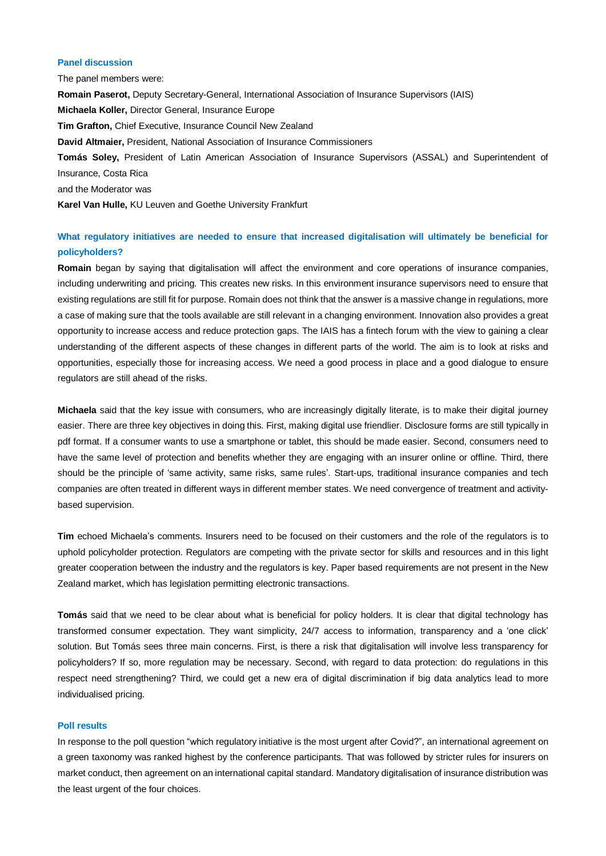# **Panel discussion**

The panel members were: **Romain Paserot,** Deputy Secretary-General, International Association of Insurance Supervisors (IAIS) **Michaela Koller,** Director General, Insurance Europe **Tim Grafton,** Chief Executive, Insurance Council New Zealand **David Altmaier,** President, National Association of Insurance Commissioners **Tomás Soley,** President of Latin American Association of Insurance Supervisors (ASSAL) and Superintendent of Insurance, Costa Rica and the Moderator was **Karel Van Hulle,** KU Leuven and Goethe University Frankfurt

# **What regulatory initiatives are needed to ensure that increased digitalisation will ultimately be beneficial for policyholders?**

**Romain** began by saying that digitalisation will affect the environment and core operations of insurance companies, including underwriting and pricing. This creates new risks. In this environment insurance supervisors need to ensure that existing regulations are still fit for purpose. Romain does not think that the answer is a massive change in regulations, more a case of making sure that the tools available are still relevant in a changing environment. Innovation also provides a great opportunity to increase access and reduce protection gaps. The IAIS has a fintech forum with the view to gaining a clear understanding of the different aspects of these changes in different parts of the world. The aim is to look at risks and opportunities, especially those for increasing access. We need a good process in place and a good dialogue to ensure regulators are still ahead of the risks.

**Michaela** said that the key issue with consumers, who are increasingly digitally literate, is to make their digital journey easier. There are three key objectives in doing this. First, making digital use friendlier. Disclosure forms are still typically in pdf format. If a consumer wants to use a smartphone or tablet, this should be made easier. Second, consumers need to have the same level of protection and benefits whether they are engaging with an insurer online or offline. Third, there should be the principle of 'same activity, same risks, same rules'. Start-ups, traditional insurance companies and tech companies are often treated in different ways in different member states. We need convergence of treatment and activitybased supervision.

**Tim** echoed Michaela's comments. Insurers need to be focused on their customers and the role of the regulators is to uphold policyholder protection. Regulators are competing with the private sector for skills and resources and in this light greater cooperation between the industry and the regulators is key. Paper based requirements are not present in the New Zealand market, which has legislation permitting electronic transactions.

**Tomás** said that we need to be clear about what is beneficial for policy holders. It is clear that digital technology has transformed consumer expectation. They want simplicity, 24/7 access to information, transparency and a 'one click' solution. But Tomás sees three main concerns. First, is there a risk that digitalisation will involve less transparency for policyholders? If so, more regulation may be necessary. Second, with regard to data protection: do regulations in this respect need strengthening? Third, we could get a new era of digital discrimination if big data analytics lead to more individualised pricing.

#### **Poll results**

In response to the poll question "which regulatory initiative is the most urgent after Covid?", an international agreement on a green taxonomy was ranked highest by the conference participants. That was followed by stricter rules for insurers on market conduct, then agreement on an international capital standard. Mandatory digitalisation of insurance distribution was the least urgent of the four choices.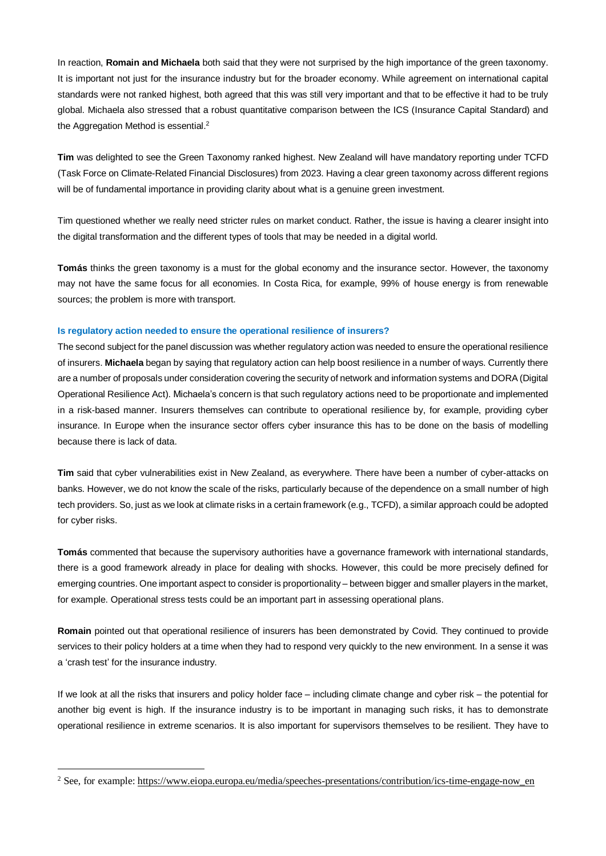In reaction, **Romain and Michaela** both said that they were not surprised by the high importance of the green taxonomy. It is important not just for the insurance industry but for the broader economy. While agreement on international capital standards were not ranked highest, both agreed that this was still very important and that to be effective it had to be truly global. Michaela also stressed that a robust quantitative comparison between the ICS (Insurance Capital Standard) and the Aggregation Method is essential.<sup>2</sup>

**Tim** was delighted to see the Green Taxonomy ranked highest. New Zealand will have mandatory reporting under TCFD (Task Force on Climate-Related Financial Disclosures) from 2023. Having a clear green taxonomy across different regions will be of fundamental importance in providing clarity about what is a genuine green investment.

Tim questioned whether we really need stricter rules on market conduct. Rather, the issue is having a clearer insight into the digital transformation and the different types of tools that may be needed in a digital world.

**Tomás** thinks the green taxonomy is a must for the global economy and the insurance sector. However, the taxonomy may not have the same focus for all economies. In Costa Rica, for example, 99% of house energy is from renewable sources; the problem is more with transport.

# **Is regulatory action needed to ensure the operational resilience of insurers?**

The second subject for the panel discussion was whether regulatory action was needed to ensure the operational resilience of insurers. **Michaela** began by saying that regulatory action can help boost resilience in a number of ways. Currently there are a number of proposals under consideration covering the security of network and information systems and DORA (Digital Operational Resilience Act). Michaela's concern is that such regulatory actions need to be proportionate and implemented in a risk-based manner. Insurers themselves can contribute to operational resilience by, for example, providing cyber insurance. In Europe when the insurance sector offers cyber insurance this has to be done on the basis of modelling because there is lack of data.

**Tim** said that cyber vulnerabilities exist in New Zealand, as everywhere. There have been a number of cyber-attacks on banks. However, we do not know the scale of the risks, particularly because of the dependence on a small number of high tech providers. So, just as we look at climate risks in a certain framework (e.g., TCFD), a similar approach could be adopted for cyber risks.

**Tomás** commented that because the supervisory authorities have a governance framework with international standards, there is a good framework already in place for dealing with shocks. However, this could be more precisely defined for emerging countries. One important aspect to consider is proportionality – between bigger and smaller players in the market, for example. Operational stress tests could be an important part in assessing operational plans.

**Romain** pointed out that operational resilience of insurers has been demonstrated by Covid. They continued to provide services to their policy holders at a time when they had to respond very quickly to the new environment. In a sense it was a 'crash test' for the insurance industry.

If we look at all the risks that insurers and policy holder face – including climate change and cyber risk – the potential for another big event is high. If the insurance industry is to be important in managing such risks, it has to demonstrate operational resilience in extreme scenarios. It is also important for supervisors themselves to be resilient. They have to

1

<sup>&</sup>lt;sup>2</sup> See, for example: [https://www.eiopa.europa.eu/media/speeches-presentations/contribution/ics-time-engage-now\\_en](https://www.eiopa.europa.eu/media/speeches-presentations/contribution/ics-time-engage-now_en)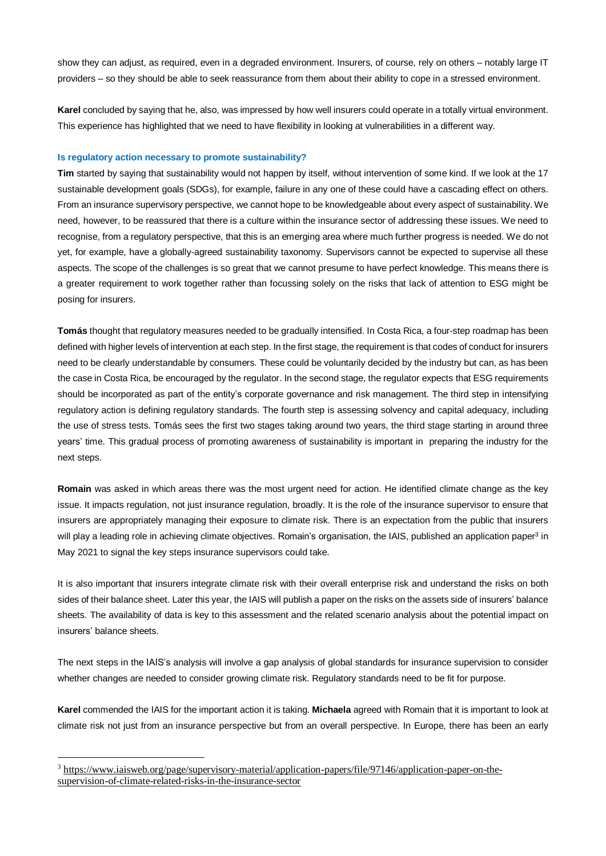show they can adjust, as required, even in a degraded environment. Insurers, of course, rely on others – notably large IT providers – so they should be able to seek reassurance from them about their ability to cope in a stressed environment.

**Karel** concluded by saying that he, also, was impressed by how well insurers could operate in a totally virtual environment. This experience has highlighted that we need to have flexibility in looking at vulnerabilities in a different way.

# **Is regulatory action necessary to promote sustainability?**

**Tim** started by saying that sustainability would not happen by itself, without intervention of some kind. If we look at the 17 sustainable development goals (SDGs), for example, failure in any one of these could have a cascading effect on others. From an insurance supervisory perspective, we cannot hope to be knowledgeable about every aspect of sustainability. We need, however, to be reassured that there is a culture within the insurance sector of addressing these issues. We need to recognise, from a regulatory perspective, that this is an emerging area where much further progress is needed. We do not yet, for example, have a globally-agreed sustainability taxonomy. Supervisors cannot be expected to supervise all these aspects. The scope of the challenges is so great that we cannot presume to have perfect knowledge. This means there is a greater requirement to work together rather than focussing solely on the risks that lack of attention to ESG might be posing for insurers.

**Tomás** thought that regulatory measures needed to be gradually intensified. In Costa Rica, a four-step roadmap has been defined with higher levels of intervention at each step. In the first stage, the requirement is that codes of conduct for insurers need to be clearly understandable by consumers. These could be voluntarily decided by the industry but can, as has been the case in Costa Rica, be encouraged by the regulator. In the second stage, the regulator expects that ESG requirements should be incorporated as part of the entity's corporate governance and risk management. The third step in intensifying regulatory action is defining regulatory standards. The fourth step is assessing solvency and capital adequacy, including the use of stress tests. Tomás sees the first two stages taking around two years, the third stage starting in around three years' time. This gradual process of promoting awareness of sustainability is important in preparing the industry for the next steps.

**Romain** was asked in which areas there was the most urgent need for action. He identified climate change as the key issue. It impacts regulation, not just insurance regulation, broadly. It is the role of the insurance supervisor to ensure that insurers are appropriately managing their exposure to climate risk. There is an expectation from the public that insurers will play a leading role in achieving climate objectives. Romain's organisation, the IAIS, published an application paper<sup>3</sup> in May 2021 to signal the key steps insurance supervisors could take.

It is also important that insurers integrate climate risk with their overall enterprise risk and understand the risks on both sides of their balance sheet. Later this year, the IAIS will publish a paper on the risks on the assets side of insurers' balance sheets. The availability of data is key to this assessment and the related scenario analysis about the potential impact on insurers' balance sheets.

The next steps in the IAIS's analysis will involve a gap analysis of global standards for insurance supervision to consider whether changes are needed to consider growing climate risk. Regulatory standards need to be fit for purpose.

**Karel** commended the IAIS for the important action it is taking. **Michaela** agreed with Romain that it is important to look at climate risk not just from an insurance perspective but from an overall perspective. In Europe, there has been an early

<u>.</u>

<sup>3</sup> [https://www.iaisweb.org/page/supervisory-material/application-papers/file/97146/application-paper-on-the](https://www.iaisweb.org/page/supervisory-material/application-papers/file/97146/application-paper-on-the-supervision-of-climate-related-risks-in-the-insurance-sector)[supervision-of-climate-related-risks-in-the-insurance-sector](https://www.iaisweb.org/page/supervisory-material/application-papers/file/97146/application-paper-on-the-supervision-of-climate-related-risks-in-the-insurance-sector)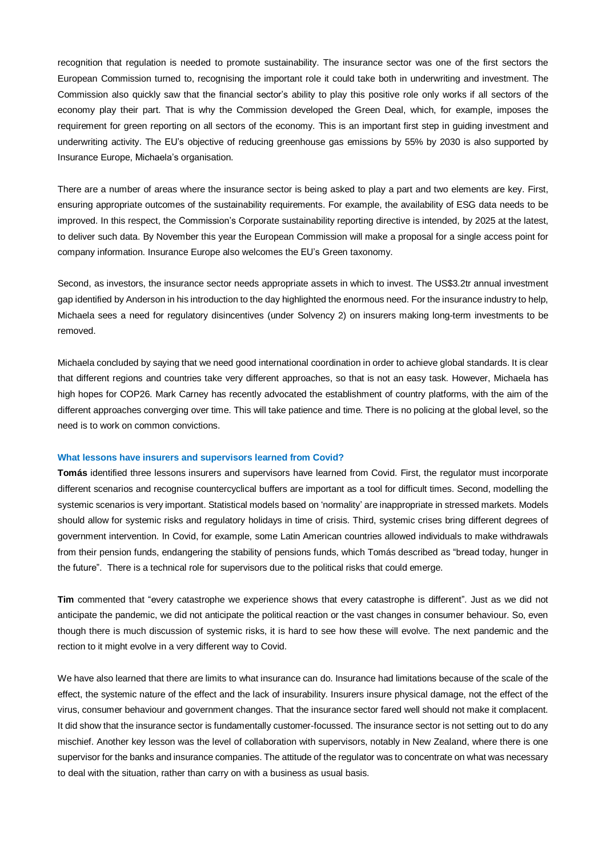recognition that regulation is needed to promote sustainability. The insurance sector was one of the first sectors the European Commission turned to, recognising the important role it could take both in underwriting and investment. The Commission also quickly saw that the financial sector's ability to play this positive role only works if all sectors of the economy play their part. That is why the Commission developed the Green Deal, which, for example, imposes the requirement for green reporting on all sectors of the economy. This is an important first step in guiding investment and underwriting activity. The EU's objective of reducing greenhouse gas emissions by 55% by 2030 is also supported by Insurance Europe, Michaela's organisation.

There are a number of areas where the insurance sector is being asked to play a part and two elements are key. First, ensuring appropriate outcomes of the sustainability requirements. For example, the availability of ESG data needs to be improved. In this respect, the Commission's Corporate sustainability reporting directive is intended, by 2025 at the latest, to deliver such data. By November this year the European Commission will make a proposal for a single access point for company information. Insurance Europe also welcomes the EU's Green taxonomy.

Second, as investors, the insurance sector needs appropriate assets in which to invest. The US\$3.2tr annual investment gap identified by Anderson in his introduction to the day highlighted the enormous need. For the insurance industry to help, Michaela sees a need for regulatory disincentives (under Solvency 2) on insurers making long-term investments to be removed.

Michaela concluded by saying that we need good international coordination in order to achieve global standards. It is clear that different regions and countries take very different approaches, so that is not an easy task. However, Michaela has high hopes for COP26. Mark Carney has recently advocated the establishment of country platforms, with the aim of the different approaches converging over time. This will take patience and time. There is no policing at the global level, so the need is to work on common convictions.

#### **What lessons have insurers and supervisors learned from Covid?**

**Tomás** identified three lessons insurers and supervisors have learned from Covid. First, the regulator must incorporate different scenarios and recognise countercyclical buffers are important as a tool for difficult times. Second, modelling the systemic scenarios is very important. Statistical models based on 'normality' are inappropriate in stressed markets. Models should allow for systemic risks and regulatory holidays in time of crisis. Third, systemic crises bring different degrees of government intervention. In Covid, for example, some Latin American countries allowed individuals to make withdrawals from their pension funds, endangering the stability of pensions funds, which Tomás described as "bread today, hunger in the future". There is a technical role for supervisors due to the political risks that could emerge.

**Tim** commented that "every catastrophe we experience shows that every catastrophe is different". Just as we did not anticipate the pandemic, we did not anticipate the political reaction or the vast changes in consumer behaviour. So, even though there is much discussion of systemic risks, it is hard to see how these will evolve. The next pandemic and the rection to it might evolve in a very different way to Covid.

We have also learned that there are limits to what insurance can do. Insurance had limitations because of the scale of the effect, the systemic nature of the effect and the lack of insurability. Insurers insure physical damage, not the effect of the virus, consumer behaviour and government changes. That the insurance sector fared well should not make it complacent. It did show that the insurance sector is fundamentally customer-focussed. The insurance sector is not setting out to do any mischief. Another key lesson was the level of collaboration with supervisors, notably in New Zealand, where there is one supervisor for the banks and insurance companies. The attitude of the regulator was to concentrate on what was necessary to deal with the situation, rather than carry on with a business as usual basis.